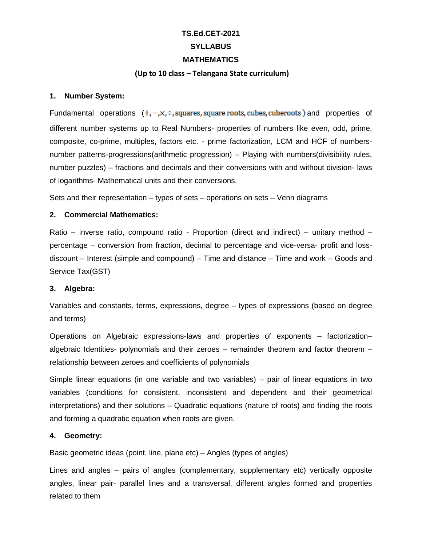# **TS.Ed.CET-2021 SYLLABUS MATHEMATICS**

#### **(Up to 10 class – Telangana State curriculum)**

#### **1. Number System:**

Fundamental operations  $(+, -, \times, +)$ , squares, square roots, cubes, cuberoots) and properties of different number systems up to Real Numbers- properties of numbers like even, odd, prime, composite, co-prime, multiples, factors etc. - prime factorization, LCM and HCF of numbersnumber patterns-progressions(arithmetic progression) – Playing with numbers(divisibility rules, number puzzles) – fractions and decimals and their conversions with and without division- laws of logarithms- Mathematical units and their conversions.

Sets and their representation – types of sets – operations on sets – Venn diagrams

## **2. Commercial Mathematics:**

Ratio – inverse ratio, compound ratio - Proportion (direct and indirect) – unitary method – percentage – conversion from fraction, decimal to percentage and vice-versa- profit and lossdiscount – Interest (simple and compound) – Time and distance – Time and work – Goods and Service Tax(GST)

## **3. Algebra:**

Variables and constants, terms, expressions, degree – types of expressions (based on degree and terms)

Operations on Algebraic expressions-laws and properties of exponents – factorization– algebraic Identities- polynomials and their zeroes – remainder theorem and factor theorem – relationship between zeroes and coefficients of polynomials

Simple linear equations (in one variable and two variables) – pair of linear equations in two variables (conditions for consistent, inconsistent and dependent and their geometrical interpretations) and their solutions – Quadratic equations (nature of roots) and finding the roots and forming a quadratic equation when roots are given.

## **4. Geometry:**

Basic geometric ideas (point, line, plane etc) – Angles (types of angles)

Lines and angles – pairs of angles (complementary, supplementary etc) vertically opposite angles, linear pair- parallel lines and a transversal, different angles formed and properties related to them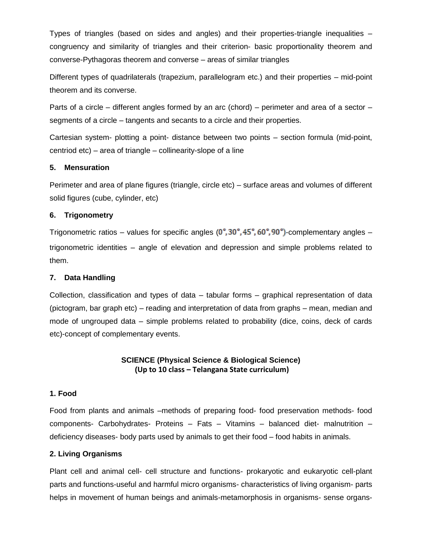Types of triangles (based on sides and angles) and their properties-triangle inequalities – congruency and similarity of triangles and their criterion- basic proportionality theorem and converse-Pythagoras theorem and converse – areas of similar triangles

Different types of quadrilaterals (trapezium, parallelogram etc.) and their properties – mid-point theorem and its converse.

Parts of a circle – different angles formed by an arc (chord) – perimeter and area of a sector – segments of a circle – tangents and secants to a circle and their properties.

Cartesian system- plotting a point- distance between two points – section formula (mid-point, centriod etc) – area of triangle – collinearity-slope of a line

## **5. Mensuration**

Perimeter and area of plane figures (triangle, circle etc) – surface areas and volumes of different solid figures (cube, cylinder, etc)

# **6. Trigonometry**

Trigonometric ratios – values for specific angles  $(0^\circ, 30^\circ, 45^\circ, 60^\circ, 90^\circ)$ -complementary angles – trigonometric identities – angle of elevation and depression and simple problems related to them.

# **7. Data Handling**

Collection, classification and types of data – tabular forms – graphical representation of data (pictogram, bar graph etc) – reading and interpretation of data from graphs – mean, median and mode of ungrouped data – simple problems related to probability (dice, coins, deck of cards etc)-concept of complementary events.

# **SCIENCE (Physical Science & Biological Science) (Up to 10 class – Telangana State curriculum)**

## **1. Food**

Food from plants and animals –methods of preparing food- food preservation methods- food components- Carbohydrates- Proteins – Fats – Vitamins – balanced diet- malnutrition – deficiency diseases- body parts used by animals to get their food – food habits in animals.

# **2. Living Organisms**

Plant cell and animal cell- cell structure and functions- prokaryotic and eukaryotic cell-plant parts and functions-useful and harmful micro organisms- characteristics of living organism- parts helps in movement of human beings and animals-metamorphosis in organisms- sense organs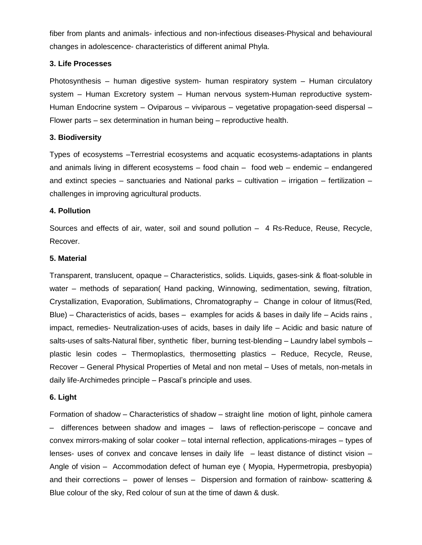fiber from plants and animals- infectious and non-infectious diseases-Physical and behavioural changes in adolescence- characteristics of different animal Phyla.

## **3. Life Processes**

Photosynthesis – human digestive system- human respiratory system – Human circulatory system – Human Excretory system – Human nervous system-Human reproductive system-Human Endocrine system – Oviparous – viviparous – vegetative propagation-seed dispersal – Flower parts – sex determination in human being – reproductive health.

### **3. Biodiversity**

Types of ecosystems –Terrestrial ecosystems and acquatic ecosystems-adaptations in plants and animals living in different ecosystems – food chain – food web – endemic – endangered and extinct species – sanctuaries and National parks – cultivation – irrigation – fertilization – challenges in improving agricultural products.

#### **4. Pollution**

Sources and effects of air, water, soil and sound pollution – 4 Rs-Reduce, Reuse, Recycle, Recover.

#### **5. Material**

Transparent, translucent, opaque – Characteristics, solids. Liquids, gases-sink & float-soluble in water – methods of separation( Hand packing, Winnowing, sedimentation, sewing, filtration, Crystallization, Evaporation, Sublimations, Chromatography – Change in colour of litmus(Red, Blue) – Characteristics of acids, bases – examples for acids & bases in daily life – Acids rains, impact, remedies- Neutralization-uses of acids, bases in daily life – Acidic and basic nature of salts-uses of salts-Natural fiber, synthetic fiber, burning test-blending – Laundry label symbols – plastic lesin codes – Thermoplastics, thermosetting plastics – Reduce, Recycle, Reuse, Recover – General Physical Properties of Metal and non metal – Uses of metals, non-metals in daily life-Archimedes principle – Pascal's principle and uses.

## **6. Light**

Formation of shadow – Characteristics of shadow – straight line motion of light, pinhole camera – differences between shadow and images – laws of reflection-periscope – concave and convex mirrors-making of solar cooker – total internal reflection, applications-mirages – types of lenses- uses of convex and concave lenses in daily life – least distance of distinct vision – Angle of vision – Accommodation defect of human eye ( Myopia, Hypermetropia, presbyopia) and their corrections – power of lenses – Dispersion and formation of rainbow- scattering & Blue colour of the sky, Red colour of sun at the time of dawn & dusk.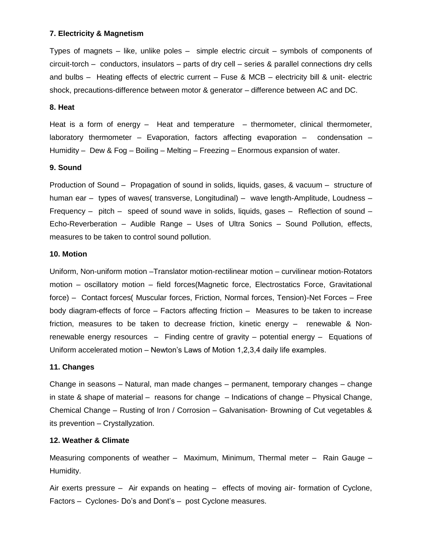#### **7. Electricity & Magnetism**

Types of magnets – like, unlike poles – simple electric circuit – symbols of components of circuit-torch – conductors, insulators – parts of dry cell – series & parallel connections dry cells and bulbs – Heating effects of electric current – Fuse & MCB – electricity bill & unit- electric shock, precautions-difference between motor & generator – difference between AC and DC.

#### **8. Heat**

Heat is a form of energy – Heat and temperature – thermometer, clinical thermometer, laboratory thermometer – Evaporation, factors affecting evaporation – condensation – Humidity – Dew & Fog – Boiling – Melting – Freezing – Enormous expansion of water.

#### **9. Sound**

Production of Sound – Propagation of sound in solids, liquids, gases, & vacuum – structure of human ear – types of waves( transverse, Longitudinal) – wave length-Amplitude, Loudness – Frequency – pitch – speed of sound wave in solids, liquids, gases – Reflection of sound – Echo-Reverberation – Audible Range – Uses of Ultra Sonics – Sound Pollution, effects, measures to be taken to control sound pollution.

#### **10. Motion**

Uniform, Non-uniform motion –Translator motion-rectilinear motion – curvilinear motion-Rotators motion – oscillatory motion – field forces(Magnetic force, Electrostatics Force, Gravitational force) – Contact forces( Muscular forces, Friction, Normal forces, Tension)-Net Forces – Free body diagram-effects of force – Factors affecting friction – Measures to be taken to increase friction, measures to be taken to decrease friction, kinetic energy – renewable & Nonrenewable energy resources – Finding centre of gravity – potential energy – Equations of Uniform accelerated motion – Newton's Laws of Motion 1,2,3,4 daily life examples.

#### **11. Changes**

Change in seasons – Natural, man made changes – permanent, temporary changes – change in state & shape of material – reasons for change – Indications of change – Physical Change, Chemical Change – Rusting of Iron / Corrosion – Galvanisation- Browning of Cut vegetables & its prevention – Crystallyzation.

#### **12. Weather & Climate**

Measuring components of weather – Maximum, Minimum, Thermal meter – Rain Gauge – Humidity.

Air exerts pressure – Air expands on heating – effects of moving air- formation of Cyclone, Factors – Cyclones- Do's and Dont's – post Cyclone measures.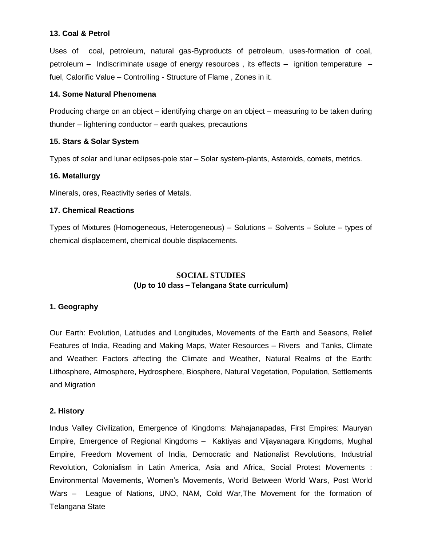## **13. Coal & Petrol**

Uses of coal, petroleum, natural gas-Byproducts of petroleum, uses-formation of coal, petroleum – Indiscriminate usage of energy resources , its effects – ignition temperature – fuel, Calorific Value – Controlling - Structure of Flame , Zones in it.

## **14. Some Natural Phenomena**

Producing charge on an object – identifying charge on an object – measuring to be taken during thunder – lightening conductor – earth quakes, precautions

## **15. Stars & Solar System**

Types of solar and lunar eclipses-pole star – Solar system-plants, Asteroids, comets, metrics.

## **16. Metallurgy**

Minerals, ores, Reactivity series of Metals.

## **17. Chemical Reactions**

Types of Mixtures (Homogeneous, Heterogeneous) – Solutions – Solvents – Solute – types of chemical displacement, chemical double displacements.

# **SOCIAL STUDIES (Up to 10 class – Telangana State curriculum)**

# **1. Geography**

Our Earth: Evolution, Latitudes and Longitudes, Movements of the Earth and Seasons, Relief Features of India, Reading and Making Maps, Water Resources – Rivers and Tanks, Climate and Weather: Factors affecting the Climate and Weather, Natural Realms of the Earth: Lithosphere, Atmosphere, Hydrosphere, Biosphere, Natural Vegetation, Population, Settlements and Migration

## **2. History**

Indus Valley Civilization, Emergence of Kingdoms: Mahajanapadas, First Empires: Mauryan Empire, Emergence of Regional Kingdoms – Kaktiyas and Vijayanagara Kingdoms, Mughal Empire, Freedom Movement of India, Democratic and Nationalist Revolutions, Industrial Revolution, Colonialism in Latin America, Asia and Africa, Social Protest Movements : Environmental Movements, Women's Movements, World Between World Wars, Post World Wars – League of Nations, UNO, NAM, Cold War,The Movement for the formation of Telangana State